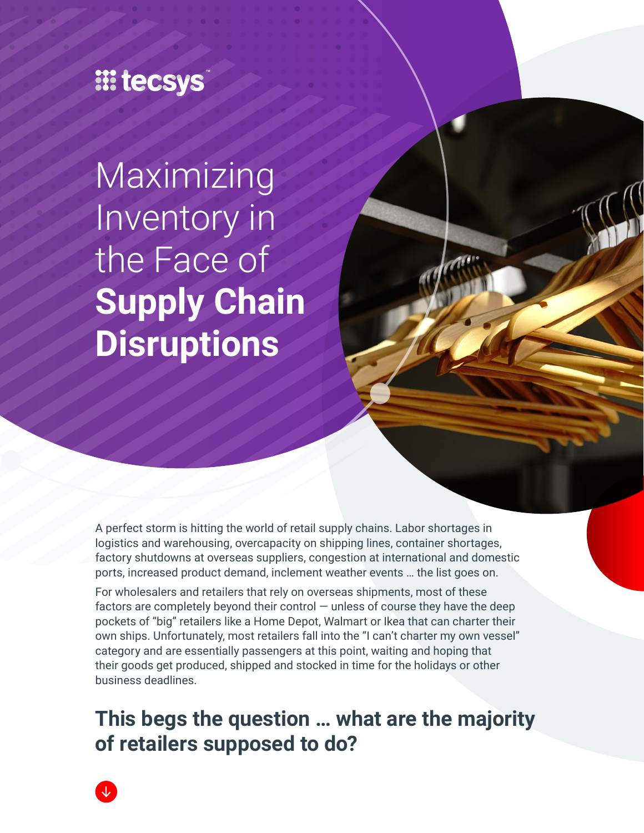# **III tecsys**

Maximizing Inventory in the Face of **Supply Chain Disruptions**

A perfect storm is hitting the world of retail supply chains. Labor shortages in logistics and warehousing, overcapacity on shipping lines, container shortages, factory shutdowns at overseas suppliers, congestion at international and domestic ports, increased product demand, inclement weather events … the list goes on.

For wholesalers and retailers that rely on overseas shipments, most of these factors are completely beyond their control  $-$  unless of course they have the deep pockets of "big" retailers like a Home Depot, Walmart or Ikea that can charter their own ships. Unfortunately, most retailers fall into the "I can't charter my own vessel" category and are essentially passengers at this point, waiting and hoping that their goods get produced, shipped and stocked in time for the holidays or other business deadlines.

**This begs the question … what are the majority of retailers supposed to do?**

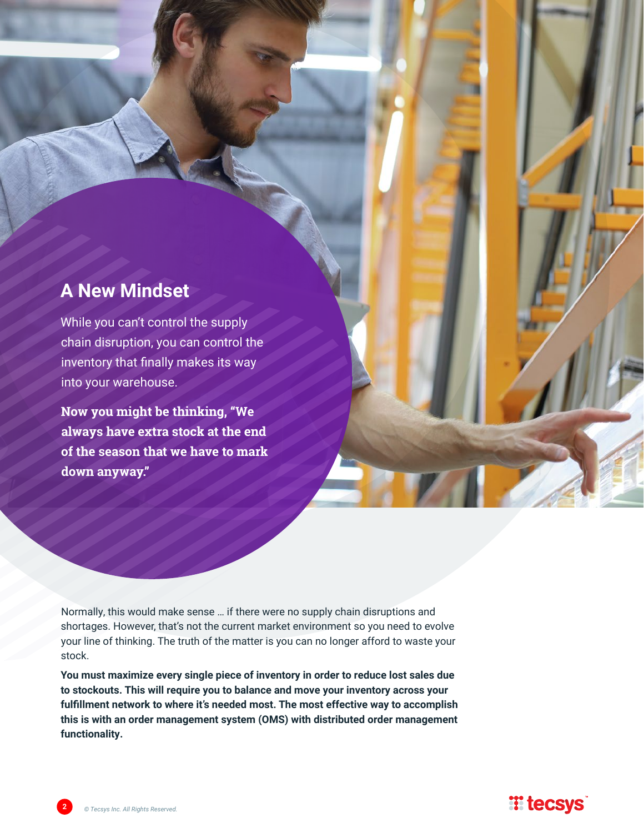## **A New Mindset**

While you can't control the supply chain disruption, you can control the inventory that finally makes its way into your warehouse.

**Now you might be thinking, "We always have extra stock at the end of the season that we have to mark down anyway."** 

Normally, this would make sense … if there were no supply chain disruptions and shortages. However, that's not the current market environment so you need to evolve your line of thinking. The truth of the matter is you can no longer afford to waste your stock.

**You must maximize every single piece of inventory in order to reduce lost sales due to stockouts. This will require you to balance and move your inventory across your fulfillment network to where it's needed most. The most effective way to accomplish this is with an order management system (OMS) with distributed order management functionality.** 

## **Witecsys**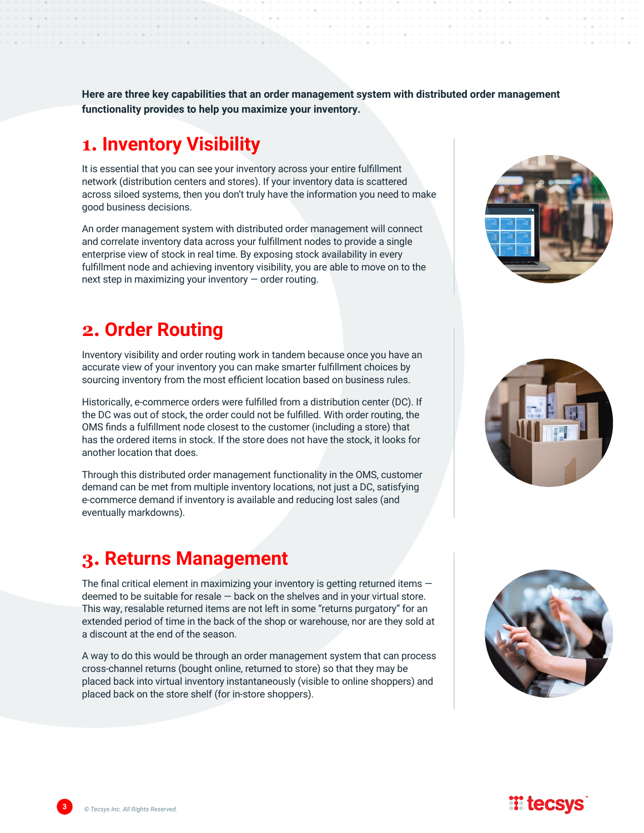**Here are three key capabilities that an order management system with distributed order management functionality provides to help you maximize your inventory.**

## **1. Inventory Visibility**

It is essential that you can see your inventory across your entire fulfillment network (distribution centers and stores). If your inventory data is scattered across siloed systems, then you don't truly have the information you need to make good business decisions.

An order management system with distributed order management will connect and correlate inventory data across your fulfillment nodes to provide a single enterprise view of stock in real time. By exposing stock availability in every fulfillment node and achieving inventory visibility, you are able to move on to the next step in maximizing your inventory — order routing.

## **2. Order Routing**

Inventory visibility and order routing work in tandem because once you have an accurate view of your inventory you can make smarter fulfillment choices by sourcing inventory from the most efficient location based on business rules.

Historically, e-commerce orders were fulfilled from a distribution center (DC). If the DC was out of stock, the order could not be fulfilled. With order routing, the OMS finds a fulfillment node closest to the customer (including a store) that has the ordered items in stock. If the store does not have the stock, it looks for another location that does.

Through this distributed order management functionality in the OMS, customer demand can be met from multiple inventory locations, not just a DC, satisfying e-commerce demand if inventory is available and reducing lost sales (and eventually markdowns).

#### **3. Returns Management**

The final critical element in maximizing your inventory is getting returned items deemed to be suitable for resale — back on the shelves and in your virtual store. This way, resalable returned items are not left in some "returns purgatory" for an extended period of time in the back of the shop or warehouse, nor are they sold at a discount at the end of the season.

A way to do this would be through an order management system that can process cross-channel returns (bought online, returned to store) so that they may be placed back into virtual inventory instantaneously (visible to online shoppers) and placed back on the store shelf (for in-store shoppers).











**3** *© Tecsys Inc. All Rights Reserved.*